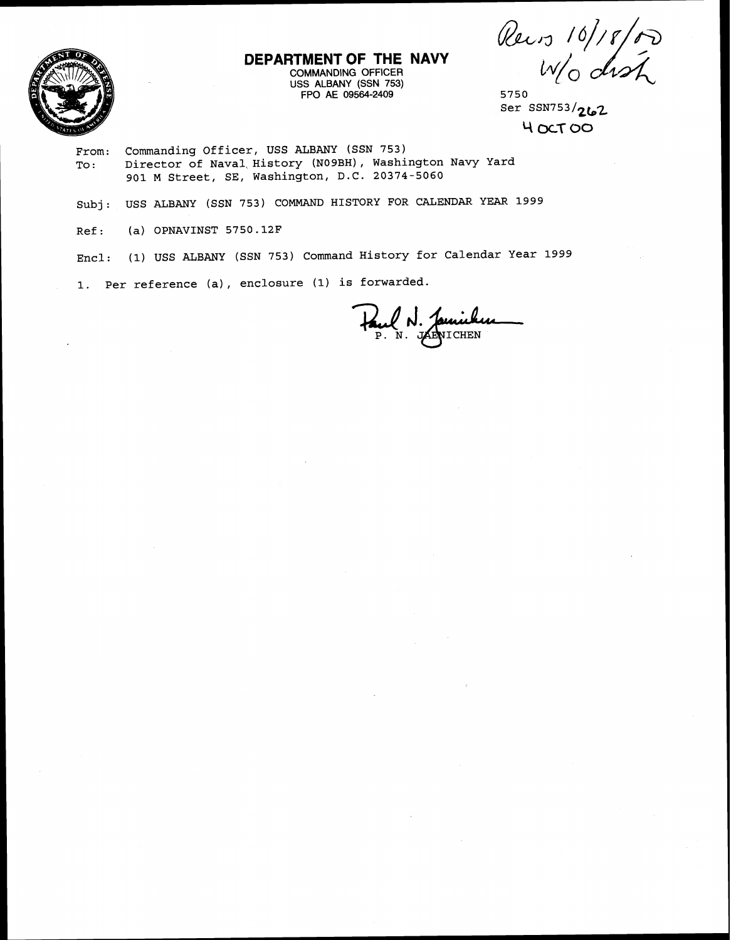Rews 10/18/00



**DEPARTMENT OF THE NAVY**  COMMANDING OFFICER

USS ALBANY (SSN 753) FPO AE 09564-2409 5750

ser SSN753 **/2b2**  <sup>Y</sup>**OCT 00** 

From: Commanding Officer, USS ALBANY (SSN 753)<br>To: Director of Naval History (N09BH), Washi Director of Naval History (NO9BH), Washington Navy Yard 901 M Street, SE, Washington, D.C. 20374-5060

Subj: USS ALBANY (SSN 753) COMMAND HISTORY FOR CALENDAR YEAR 1999

Ref: (a) OPNAVINST 5750.12F

Encl: (1) USS ALBANY (SSN 753) Command History for Calendar Year 1999

**1.** Per reference (a), enclosure (1) is forwarded.

Paul N. Jamicken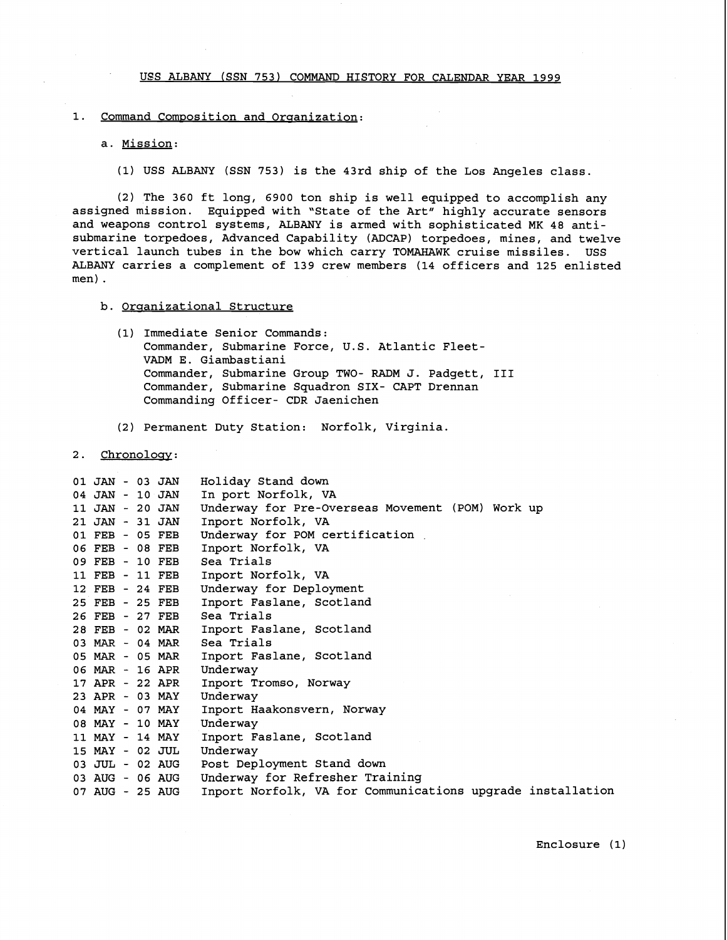UES ALBANY (SSN 753) COMMAND HISTORY FOR CALENDAR YEAR 1999

# 1. Command Composition and Organization:

### a. Mission:

(1) USS ALBANY (SSN 753) is the 43rd ship of the Los Angeles class.

(2) The 360 ft long, 6900 ton ship is well equipped to accomplish any assigned mission. Equipped with 'State of the Art" highly accurate sensors and weapons control systems, ALBANY is armed with sophisticated MK 48 antisubmarine torpedoes, Advanced Capability (ADCAP) torpedoes, mines, and twelve vertical launch tubes in the bow which carry TOMAHAWK cruise missiles. USS ALBANY carries a complement of 139 crew members (14 officers and 125 enlisted men) .

### b. Organizational Structure

- (1) Immediate Senior Commands: Commander, Submarine Force, U.S. Atlantic Fleet-VADM E. Giambastiani Commander, Submarine Group TWO- RADM J. Padgett, I11 Commander, Submarine Squadron SIX- CAPT Drennan Commanding Officer- CDR Jaenichen
- (2) Permanent Duty Station: Norfolk, Virginia.

# 2. Chronology:

| 01 JAN - 03 JAN | Holiday Stand down                                         |
|-----------------|------------------------------------------------------------|
| 04 JAN - 10 JAN | In port Norfolk, VA                                        |
| 11 JAN - 20 JAN | Underway for Pre-Overseas Movement (POM) Work up           |
| 21 JAN - 31 JAN | Inport Norfolk, VA                                         |
| 01 FEB - 05 FEB | Underway for POM certification                             |
| 06 FEB - 08 FEB | Inport Norfolk, VA                                         |
| 09 FEB - 10 FEB | Sea Trials                                                 |
| 11 FEB - 11 FEB | Inport Norfolk, VA                                         |
| 12 FEB - 24 FEB | Underway for Deployment                                    |
| 25 FEB - 25 FEB | Inport Faslane, Scotland                                   |
| 26 FEB - 27 FEB | Sea Trials                                                 |
| 28 FEB - 02 MAR | Inport Faslane, Scotland                                   |
| 03 MAR - 04 MAR | Sea Trials                                                 |
| 05 MAR - 05 MAR | Inport Faslane, Scotland                                   |
| 06 MAR - 16 APR | Underway                                                   |
| 17 APR - 22 APR | Inport Tromso, Norway                                      |
| 23 APR - 03 MAY | Underway                                                   |
| 04 MAY - 07 MAY | Inport Haakonsvern, Norway                                 |
| 08 MAY - 10 MAY | Underway                                                   |
| 11 MAY - 14 MAY | Inport Faslane, Scotland                                   |
| 15 MAY - 02 JUL | Underway                                                   |
| 03 JUL - 02 AUG | Post Deployment Stand down                                 |
| 03 AUG - 06 AUG | Underway for Refresher Training                            |
| 07 AUG - 25 AUG | Inport Norfolk, VA for Communications upgrade installation |
|                 |                                                            |